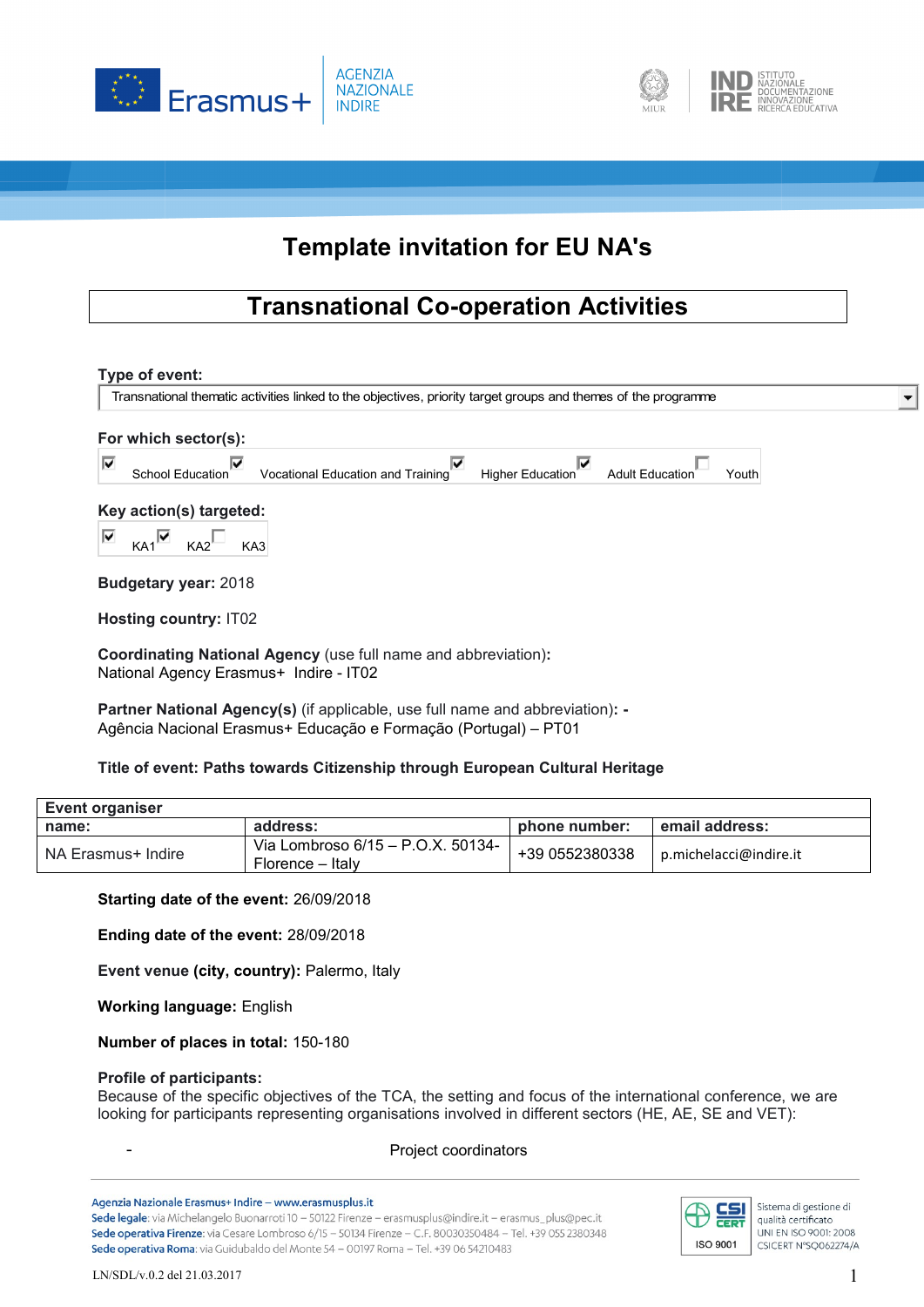



# **Template invitation for EU NA's**

## **Transnational Co-operation Activities**

## **Type of event:**

Transnational thematic activities linked to the objectives, priority target groups and themes of the programme

| For which sector(s): |                         |                                   |                         |                 |      |  |  |  |
|----------------------|-------------------------|-----------------------------------|-------------------------|-----------------|------|--|--|--|
|                      | <b>School Education</b> | Vocational Education and Training | <b>Higher Education</b> | Adult Education | outh |  |  |  |

## **Key action(s) targeted:**

⊽  $K_A1$   $K_A2$   $K_{A3}$ 

**Budgetary year:** 2018

**Hosting country:** IT02

**Coordinating National Agency** (use full name and abbreviation)**:** National Agency Erasmus+ Indire - IT02

**Partner National Agency(s)** (if applicable, use full name and abbreviation)**: -** Agência Nacional Erasmus+ Educação e Formação (Portugal) – PT01

## **Title of event: Paths towards Citizenship through European Cultural Heritage**

| Event organiser    |                                                       |                |                        |  |  |  |  |
|--------------------|-------------------------------------------------------|----------------|------------------------|--|--|--|--|
| name:              | address:                                              | phone number:  | email address:         |  |  |  |  |
| NA Erasmus+ Indire | Via Lombroso 6/15 – P.O.X. 50134-<br>Florence – Italv | +39 0552380338 | p.michelacci@indire.it |  |  |  |  |

## **Starting date of the event:** 26/09/2018

**Ending date of the event:** 28/09/2018

**Event venue (city, country):** Palermo, Italy

**Working language:** English

**Number of places in total:** 150-180

## **Profile of participants:**

Because of the specific objectives of the TCA, the setting and focus of the international conference, we are looking for participants representing organisations involved in different sectors (HE, AE, SE and VET):

Project coordinators

Agenzia Nazionale Erasmus+ Indire - www.erasmusplus.it

Sede legale: via Michelangelo Buonarroti 10 - 50122 Firenze - erasmusplus@indire.it - erasmus\_plus@pec.it Sede operativa Firenze: via Cesare Lombroso 6/15 - 50134 Firenze - C.F. 80030350484 - Tel. +39 055 2380348 Sede operativa Roma: via Guidubaldo del Monte 54 - 00197 Roma - Tel. +39 06 54210483



 $\blacksquare$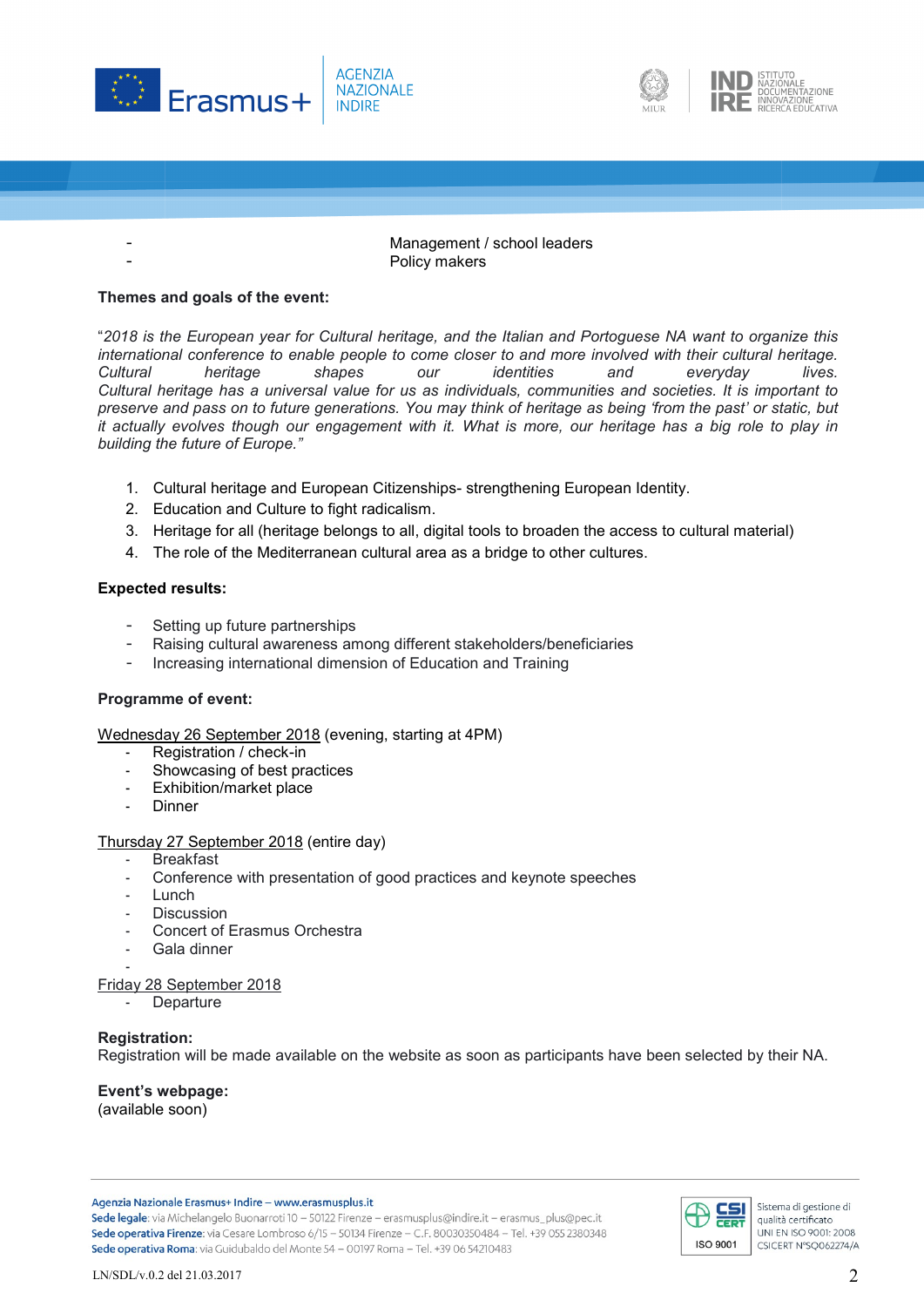





Management / school leaders Policy makers

## **Themes and goals of the event:**

"2018 is the European year for Cultural heritage, and the Italian and Portoguese NA want to organize this *international conference to enable people to come closer to and more involved with their cultural heritage. Cultural heritage shapes our identities and everyday lives.* Cultural heritage has a universal value for us as individuals, communities and societies. It is important to preserve and pass on to future generations. You may think of heritage as being 'from the past' or static, but it actually evolves though our engagement with it. What is more, our heritage has a big role to play in *building the future of Europe."*

- 1. Cultural heritage and European Citizenships- strengthening European Identity.
- 2. Education and Culture to fight radicalism.
- 3. Heritage for all (heritage belongs to all, digital tools to broaden the access to cultural material)
- 4. The role of the Mediterranean cultural area as a bridge to other cultures.

## **Expected results:**

- Setting up future partnerships
- Raising cultural awareness among different stakeholders/beneficiaries
- Increasing international dimension of Education and Training

## **Programme of event:**

Wednesday 26 September 2018 (evening, starting at 4PM)

- Registration / check-in
- Showcasing of best practices
- Exhibition/market place
- **Dinner**

## Thursday 27 September 2018 (entire day)

- Breakfast
- Conference with presentation of good practices and keynote speeches
- **Lunch**
- **Discussion**
- Concert of Erasmus Orchestra
- Gala dinner -

## Friday 28 September 2018

**Departure** 

## **Registration:**

Registration will be made available on the website as soon as participants have been selected by their NA.

## **Event's webpage:**

(available soon)

Agenzia Nazionale Erasmus+ Indire - www.erasmusplus.it

Sede legale: via Michelangelo Buonarroti 10 - 50122 Firenze - erasmusplus@indire.it - erasmus\_plus@pec.it Sede operativa Firenze: via Cesare Lombroso 6/15 - 50134 Firenze - C.F. 80030350484 - Tel. +39 055 2380348 Sede operativa Roma: via Guidubaldo del Monte 54 - 00197 Roma - Tel. +39 06 54210483